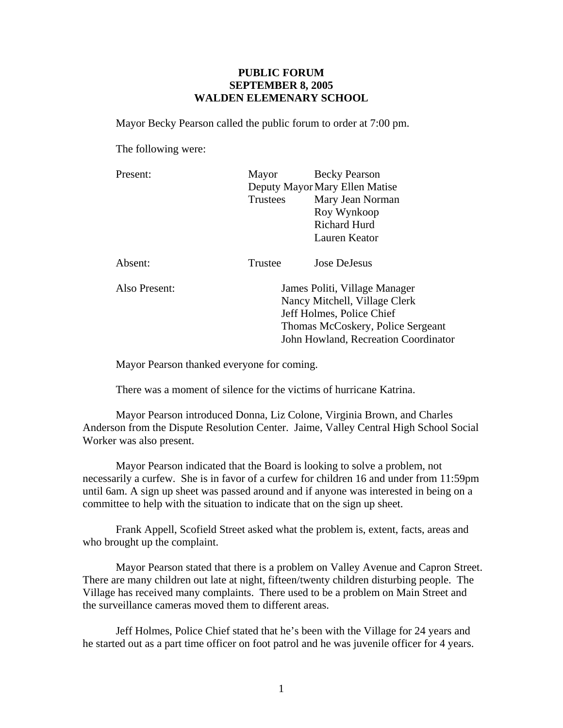## **PUBLIC FORUM SEPTEMBER 8, 2005 WALDEN ELEMENARY SCHOOL**

Mayor Becky Pearson called the public forum to order at 7:00 pm.

The following were:

| Present: | Mayor                          | <b>Becky Pearson</b> |
|----------|--------------------------------|----------------------|
|          | Deputy Mayor Mary Ellen Matise |                      |
|          | Trustees                       | Mary Jean Norman     |
|          |                                | Roy Wynkoop          |
|          |                                | <b>Richard Hurd</b>  |
|          |                                | Lauren Keator        |
|          |                                |                      |
| Absent:  | Trustee                        | Jose DeJesus         |

 Also Present: James Politi, Village Manager Nancy Mitchell, Village Clerk Jeff Holmes, Police Chief Thomas McCoskery, Police Sergeant John Howland, Recreation Coordinator

Mayor Pearson thanked everyone for coming.

There was a moment of silence for the victims of hurricane Katrina.

Mayor Pearson introduced Donna, Liz Colone, Virginia Brown, and Charles Anderson from the Dispute Resolution Center. Jaime, Valley Central High School Social Worker was also present.

Mayor Pearson indicated that the Board is looking to solve a problem, not necessarily a curfew. She is in favor of a curfew for children 16 and under from 11:59pm until 6am. A sign up sheet was passed around and if anyone was interested in being on a committee to help with the situation to indicate that on the sign up sheet.

Frank Appell, Scofield Street asked what the problem is, extent, facts, areas and who brought up the complaint.

Mayor Pearson stated that there is a problem on Valley Avenue and Capron Street. There are many children out late at night, fifteen/twenty children disturbing people. The Village has received many complaints. There used to be a problem on Main Street and the surveillance cameras moved them to different areas.

Jeff Holmes, Police Chief stated that he's been with the Village for 24 years and he started out as a part time officer on foot patrol and he was juvenile officer for 4 years.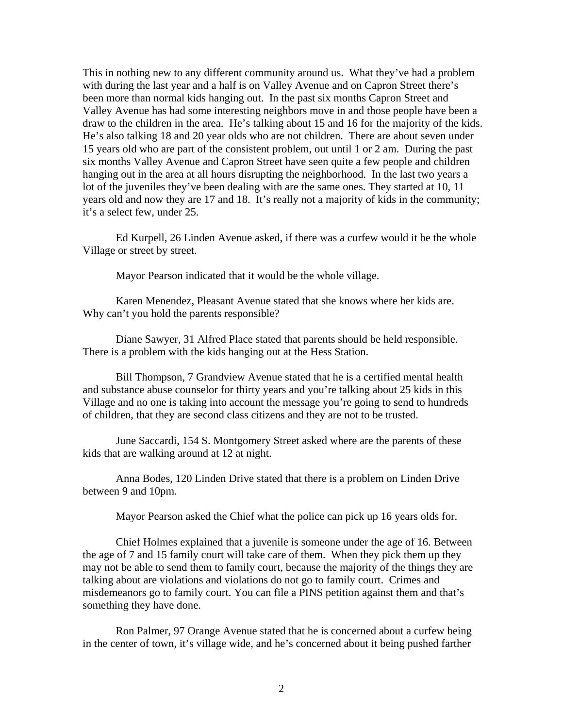This in nothing new to any different community around us. What they've had a problem with during the last year and a half is on Valley Avenue and on Capron Street there's been more than normal kids hanging out. In the past six months Capron Street and Valley Avenue has had some interesting neighbors move in and those people have been a draw to the children in the area. He's talking about 15 and 16 for the majority of the kids. He's also talking 18 and 20 year olds who are not children. There are about seven under 15 years old who are part of the consistent problem, out until 1 or 2 am. During the past six months Valley Avenue and Capron Street have seen quite a few people and children hanging out in the area at all hours disrupting the neighborhood. In the last two years a lot of the juveniles they've been dealing with are the same ones. They started at 10, 11 years old and now they are 17 and 18. It's really not a majority of kids in the community; it's a select few, under 25.

Ed Kurpell, 26 Linden Avenue asked, if there was a curfew would it be the whole Village or street by street.

Mayor Pearson indicated that it would be the whole village.

Karen Menendez, Pleasant Avenue stated that she knows where her kids are. Why can't you hold the parents responsible?

Diane Sawyer, 31 Alfred Place stated that parents should be held responsible. There is a problem with the kids hanging out at the Hess Station.

Bill Thompson, 7 Grandview Avenue stated that he is a certified mental health and substance abuse counselor for thirty years and you're talking about 25 kids in this Village and no one is taking into account the message you're going to send to hundreds of children, that they are second class citizens and they are not to be trusted.

June Saccardi, 154 S. Montgomery Street asked where are the parents of these kids that are walking around at 12 at night.

Anna Bodes, 120 Linden Drive stated that there is a problem on Linden Drive between 9 and 10pm.

Mayor Pearson asked the Chief what the police can pick up 16 years olds for.

Chief Holmes explained that a juvenile is someone under the age of 16. Between the age of 7 and 15 family court will take care of them. When they pick them up they may not be able to send them to family court, because the majority of the things they are talking about are violations and violations do not go to family court. Crimes and misdemeanors go to family court. You can file a PINS petition against them and that's something they have done.

Ron Palmer, 97 Orange Avenue stated that he is concerned about a curfew being in the center of town, it's village wide, and he's concerned about it being pushed farther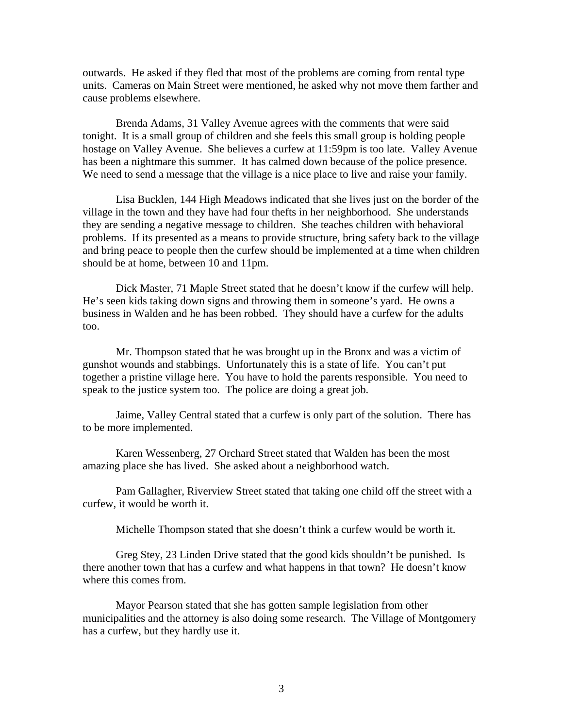outwards. He asked if they fled that most of the problems are coming from rental type units. Cameras on Main Street were mentioned, he asked why not move them farther and cause problems elsewhere.

Brenda Adams, 31 Valley Avenue agrees with the comments that were said tonight. It is a small group of children and she feels this small group is holding people hostage on Valley Avenue. She believes a curfew at 11:59pm is too late. Valley Avenue has been a nightmare this summer. It has calmed down because of the police presence. We need to send a message that the village is a nice place to live and raise your family.

Lisa Bucklen, 144 High Meadows indicated that she lives just on the border of the village in the town and they have had four thefts in her neighborhood. She understands they are sending a negative message to children. She teaches children with behavioral problems. If its presented as a means to provide structure, bring safety back to the village and bring peace to people then the curfew should be implemented at a time when children should be at home, between 10 and 11pm.

Dick Master, 71 Maple Street stated that he doesn't know if the curfew will help. He's seen kids taking down signs and throwing them in someone's yard. He owns a business in Walden and he has been robbed. They should have a curfew for the adults too.

Mr. Thompson stated that he was brought up in the Bronx and was a victim of gunshot wounds and stabbings. Unfortunately this is a state of life. You can't put together a pristine village here. You have to hold the parents responsible. You need to speak to the justice system too. The police are doing a great job.

Jaime, Valley Central stated that a curfew is only part of the solution. There has to be more implemented.

Karen Wessenberg, 27 Orchard Street stated that Walden has been the most amazing place she has lived. She asked about a neighborhood watch.

Pam Gallagher, Riverview Street stated that taking one child off the street with a curfew, it would be worth it.

Michelle Thompson stated that she doesn't think a curfew would be worth it.

Greg Stey, 23 Linden Drive stated that the good kids shouldn't be punished. Is there another town that has a curfew and what happens in that town? He doesn't know where this comes from.

Mayor Pearson stated that she has gotten sample legislation from other municipalities and the attorney is also doing some research. The Village of Montgomery has a curfew, but they hardly use it.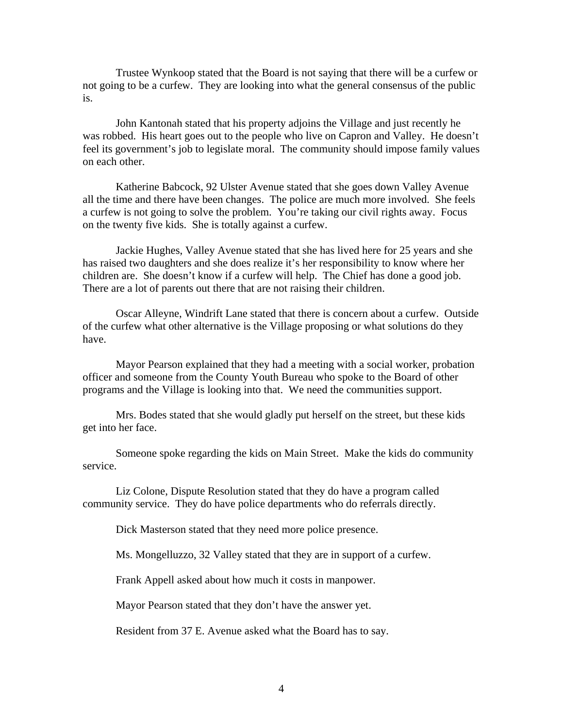Trustee Wynkoop stated that the Board is not saying that there will be a curfew or not going to be a curfew. They are looking into what the general consensus of the public is.

John Kantonah stated that his property adjoins the Village and just recently he was robbed. His heart goes out to the people who live on Capron and Valley. He doesn't feel its government's job to legislate moral. The community should impose family values on each other.

Katherine Babcock, 92 Ulster Avenue stated that she goes down Valley Avenue all the time and there have been changes. The police are much more involved. She feels a curfew is not going to solve the problem. You're taking our civil rights away. Focus on the twenty five kids. She is totally against a curfew.

Jackie Hughes, Valley Avenue stated that she has lived here for 25 years and she has raised two daughters and she does realize it's her responsibility to know where her children are. She doesn't know if a curfew will help. The Chief has done a good job. There are a lot of parents out there that are not raising their children.

Oscar Alleyne, Windrift Lane stated that there is concern about a curfew. Outside of the curfew what other alternative is the Village proposing or what solutions do they have.

Mayor Pearson explained that they had a meeting with a social worker, probation officer and someone from the County Youth Bureau who spoke to the Board of other programs and the Village is looking into that. We need the communities support.

Mrs. Bodes stated that she would gladly put herself on the street, but these kids get into her face.

Someone spoke regarding the kids on Main Street. Make the kids do community service.

Liz Colone, Dispute Resolution stated that they do have a program called community service. They do have police departments who do referrals directly.

Dick Masterson stated that they need more police presence.

Ms. Mongelluzzo, 32 Valley stated that they are in support of a curfew.

Frank Appell asked about how much it costs in manpower.

Mayor Pearson stated that they don't have the answer yet.

Resident from 37 E. Avenue asked what the Board has to say.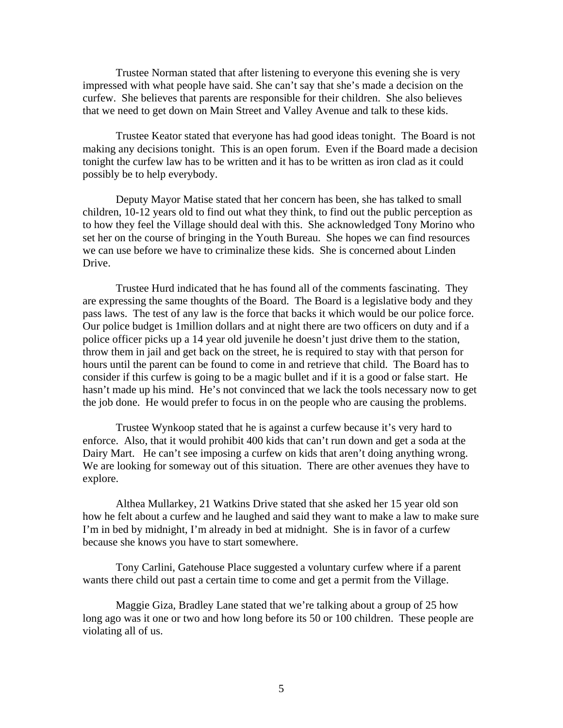Trustee Norman stated that after listening to everyone this evening she is very impressed with what people have said. She can't say that she's made a decision on the curfew. She believes that parents are responsible for their children. She also believes that we need to get down on Main Street and Valley Avenue and talk to these kids.

Trustee Keator stated that everyone has had good ideas tonight. The Board is not making any decisions tonight. This is an open forum. Even if the Board made a decision tonight the curfew law has to be written and it has to be written as iron clad as it could possibly be to help everybody.

Deputy Mayor Matise stated that her concern has been, she has talked to small children, 10-12 years old to find out what they think, to find out the public perception as to how they feel the Village should deal with this. She acknowledged Tony Morino who set her on the course of bringing in the Youth Bureau. She hopes we can find resources we can use before we have to criminalize these kids. She is concerned about Linden Drive.

Trustee Hurd indicated that he has found all of the comments fascinating. They are expressing the same thoughts of the Board. The Board is a legislative body and they pass laws. The test of any law is the force that backs it which would be our police force. Our police budget is 1million dollars and at night there are two officers on duty and if a police officer picks up a 14 year old juvenile he doesn't just drive them to the station, throw them in jail and get back on the street, he is required to stay with that person for hours until the parent can be found to come in and retrieve that child. The Board has to consider if this curfew is going to be a magic bullet and if it is a good or false start. He hasn't made up his mind. He's not convinced that we lack the tools necessary now to get the job done. He would prefer to focus in on the people who are causing the problems.

Trustee Wynkoop stated that he is against a curfew because it's very hard to enforce. Also, that it would prohibit 400 kids that can't run down and get a soda at the Dairy Mart. He can't see imposing a curfew on kids that aren't doing anything wrong. We are looking for someway out of this situation. There are other avenues they have to explore.

Althea Mullarkey, 21 Watkins Drive stated that she asked her 15 year old son how he felt about a curfew and he laughed and said they want to make a law to make sure I'm in bed by midnight, I'm already in bed at midnight. She is in favor of a curfew because she knows you have to start somewhere.

Tony Carlini, Gatehouse Place suggested a voluntary curfew where if a parent wants there child out past a certain time to come and get a permit from the Village.

Maggie Giza, Bradley Lane stated that we're talking about a group of 25 how long ago was it one or two and how long before its 50 or 100 children. These people are violating all of us.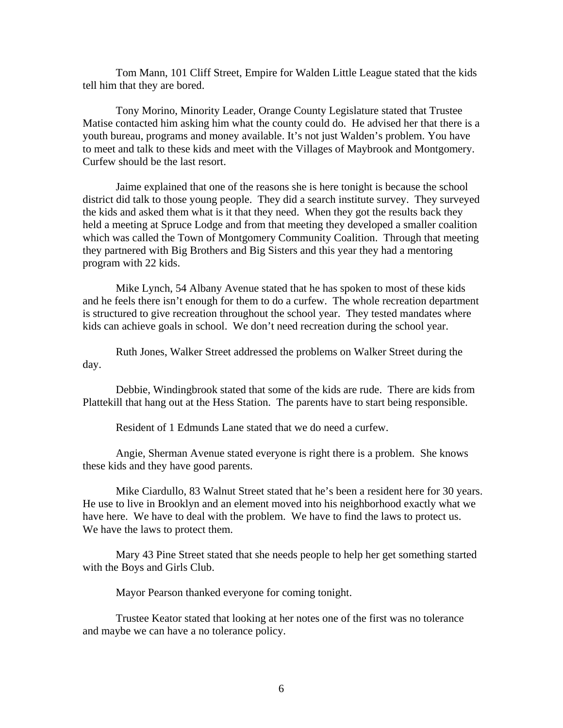Tom Mann, 101 Cliff Street, Empire for Walden Little League stated that the kids tell him that they are bored.

Tony Morino, Minority Leader, Orange County Legislature stated that Trustee Matise contacted him asking him what the county could do. He advised her that there is a youth bureau, programs and money available. It's not just Walden's problem. You have to meet and talk to these kids and meet with the Villages of Maybrook and Montgomery. Curfew should be the last resort.

Jaime explained that one of the reasons she is here tonight is because the school district did talk to those young people. They did a search institute survey. They surveyed the kids and asked them what is it that they need. When they got the results back they held a meeting at Spruce Lodge and from that meeting they developed a smaller coalition which was called the Town of Montgomery Community Coalition. Through that meeting they partnered with Big Brothers and Big Sisters and this year they had a mentoring program with 22 kids.

Mike Lynch, 54 Albany Avenue stated that he has spoken to most of these kids and he feels there isn't enough for them to do a curfew. The whole recreation department is structured to give recreation throughout the school year. They tested mandates where kids can achieve goals in school. We don't need recreation during the school year.

Ruth Jones, Walker Street addressed the problems on Walker Street during the day.

Debbie, Windingbrook stated that some of the kids are rude. There are kids from Plattekill that hang out at the Hess Station. The parents have to start being responsible.

Resident of 1 Edmunds Lane stated that we do need a curfew.

Angie, Sherman Avenue stated everyone is right there is a problem. She knows these kids and they have good parents.

Mike Ciardullo, 83 Walnut Street stated that he's been a resident here for 30 years. He use to live in Brooklyn and an element moved into his neighborhood exactly what we have here. We have to deal with the problem. We have to find the laws to protect us. We have the laws to protect them.

Mary 43 Pine Street stated that she needs people to help her get something started with the Boys and Girls Club.

Mayor Pearson thanked everyone for coming tonight.

Trustee Keator stated that looking at her notes one of the first was no tolerance and maybe we can have a no tolerance policy.